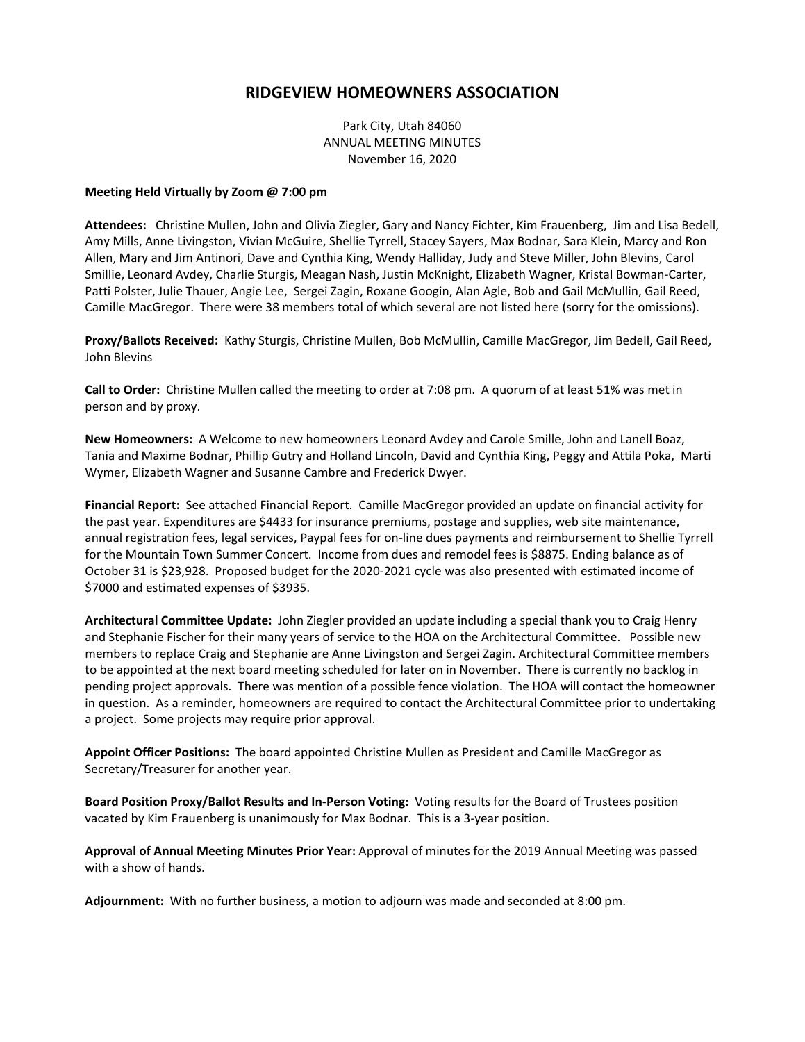## **RIDGEVIEW HOMEOWNERS ASSOCIATION**

Park City, Utah 84060 ANNUAL MEETING MINUTES November 16, 2020

## **Meeting Held Virtually by Zoom @ 7:00 pm**

**Attendees:** Christine Mullen, John and Olivia Ziegler, Gary and Nancy Fichter, Kim Frauenberg, Jim and Lisa Bedell, Amy Mills, Anne Livingston, Vivian McGuire, Shellie Tyrrell, Stacey Sayers, Max Bodnar, Sara Klein, Marcy and Ron Allen, Mary and Jim Antinori, Dave and Cynthia King, Wendy Halliday, Judy and Steve Miller, John Blevins, Carol Smillie, Leonard Avdey, Charlie Sturgis, Meagan Nash, Justin McKnight, Elizabeth Wagner, Kristal Bowman-Carter, Patti Polster, Julie Thauer, Angie Lee, Sergei Zagin, Roxane Googin, Alan Agle, Bob and Gail McMullin, Gail Reed, Camille MacGregor. There were 38 members total of which several are not listed here (sorry for the omissions).

**Proxy/Ballots Received:** Kathy Sturgis, Christine Mullen, Bob McMullin, Camille MacGregor, Jim Bedell, Gail Reed, John Blevins

**Call to Order:** Christine Mullen called the meeting to order at 7:08 pm. A quorum of at least 51% was met in person and by proxy.

**New Homeowners:** A Welcome to new homeowners Leonard Avdey and Carole Smille, John and Lanell Boaz, Tania and Maxime Bodnar, Phillip Gutry and Holland Lincoln, David and Cynthia King, Peggy and Attila Poka, Marti Wymer, Elizabeth Wagner and Susanne Cambre and Frederick Dwyer.

**Financial Report:** See attached Financial Report. Camille MacGregor provided an update on financial activity for the past year. Expenditures are \$4433 for insurance premiums, postage and supplies, web site maintenance, annual registration fees, legal services, Paypal fees for on-line dues payments and reimbursement to Shellie Tyrrell for the Mountain Town Summer Concert. Income from dues and remodel fees is \$8875. Ending balance as of October 31 is \$23,928. Proposed budget for the 2020-2021 cycle was also presented with estimated income of \$7000 and estimated expenses of \$3935.

**Architectural Committee Update:** John Ziegler provided an update including a special thank you to Craig Henry and Stephanie Fischer for their many years of service to the HOA on the Architectural Committee. Possible new members to replace Craig and Stephanie are Anne Livingston and Sergei Zagin. Architectural Committee members to be appointed at the next board meeting scheduled for later on in November. There is currently no backlog in pending project approvals. There was mention of a possible fence violation. The HOA will contact the homeowner in question. As a reminder, homeowners are required to contact the Architectural Committee prior to undertaking a project. Some projects may require prior approval.

**Appoint Officer Positions:** The board appointed Christine Mullen as President and Camille MacGregor as Secretary/Treasurer for another year.

**Board Position Proxy/Ballot Results and In-Person Voting:** Voting results for the Board of Trustees position vacated by Kim Frauenberg is unanimously for Max Bodnar.This is a 3-year position.

**Approval of Annual Meeting Minutes Prior Year:** Approval of minutes for the 2019 Annual Meeting was passed with a show of hands.

**Adjournment:** With no further business, a motion to adjourn was made and seconded at 8:00 pm.